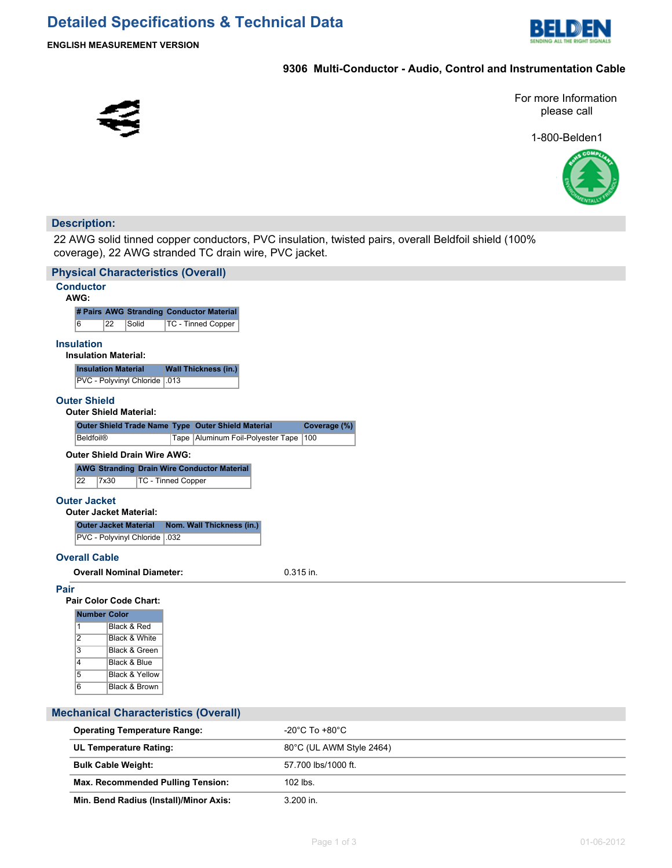

**ENGLISH MEASUREMENT VERSION**

#### **9306 Multi-Conductor - Audio, Control and Instrumentation Cable**



For more Information please call

1-800-Belden1



### **Description:**

I

22 AWG solid tinned copper conductors, PVC insulation, twisted pairs, overall Beldfoil shield (100% coverage), 22 AWG stranded TC drain wire, PVC jacket.

| <b>Physical Characteristics (Overall)</b>                          |                                    |
|--------------------------------------------------------------------|------------------------------------|
| <b>Conductor</b><br>AWG:                                           |                                    |
| # Pairs AWG Stranding Conductor Material                           |                                    |
| 6<br>22<br>TC - Tinned Copper<br>Solid                             |                                    |
| <b>Insulation</b>                                                  |                                    |
| <b>Insulation Material:</b>                                        |                                    |
| <b>Insulation Material</b><br><b>Wall Thickness (in.)</b>          |                                    |
| PVC - Polyvinyl Chloride   .013                                    |                                    |
|                                                                    |                                    |
| <b>Outer Shield</b>                                                |                                    |
| <b>Outer Shield Material:</b>                                      |                                    |
| Outer Shield Trade Name Type Outer Shield Material                 | Coverage (%)                       |
| <b>Beldfoil®</b><br>Tape Aluminum Foil-Polyester Tape              | 100                                |
| <b>Outer Shield Drain Wire AWG:</b>                                |                                    |
| <b>AWG Stranding Drain Wire Conductor Material</b>                 |                                    |
| 22<br>7x30<br><b>TC - Tinned Copper</b>                            |                                    |
|                                                                    |                                    |
| <b>Outer Jacket</b>                                                |                                    |
| <b>Outer Jacket Material:</b>                                      |                                    |
| <b>Outer Jacket Material</b><br>Nom. Wall Thickness (in.)          |                                    |
| PVC - Polyvinyl Chloride   .032                                    |                                    |
| <b>Overall Cable</b>                                               |                                    |
| <b>Overall Nominal Diameter:</b>                                   | 0.315 in.                          |
|                                                                    |                                    |
| Pair                                                               |                                    |
| <b>Pair Color Code Chart:</b>                                      |                                    |
| <b>Number Color</b>                                                |                                    |
| $\mathbf{1}$<br>Black & Red                                        |                                    |
| $\overline{2}$<br>Black & White<br>$\overline{3}$<br>Black & Green |                                    |
| Black & Blue                                                       |                                    |
| 4<br>$\overline{5}$<br><b>Black &amp; Yellow</b>                   |                                    |
| 6<br>Black & Brown                                                 |                                    |
|                                                                    |                                    |
|                                                                    |                                    |
| <b>Mechanical Characteristics (Overall)</b>                        |                                    |
| <b>Operating Temperature Range:</b>                                | $-20^{\circ}$ C To $+80^{\circ}$ C |

| Operating Temperature Range:             | -20°C TO +80°C           |  |  |
|------------------------------------------|--------------------------|--|--|
| <b>UL Temperature Rating:</b>            | 80°C (UL AWM Style 2464) |  |  |
| <b>Bulk Cable Weight:</b>                | 57.700 lbs/1000 ft.      |  |  |
| <b>Max. Recommended Pulling Tension:</b> | $102$ lbs.               |  |  |
| Min. Bend Radius (Install)/Minor Axis:   | $3.200$ in.              |  |  |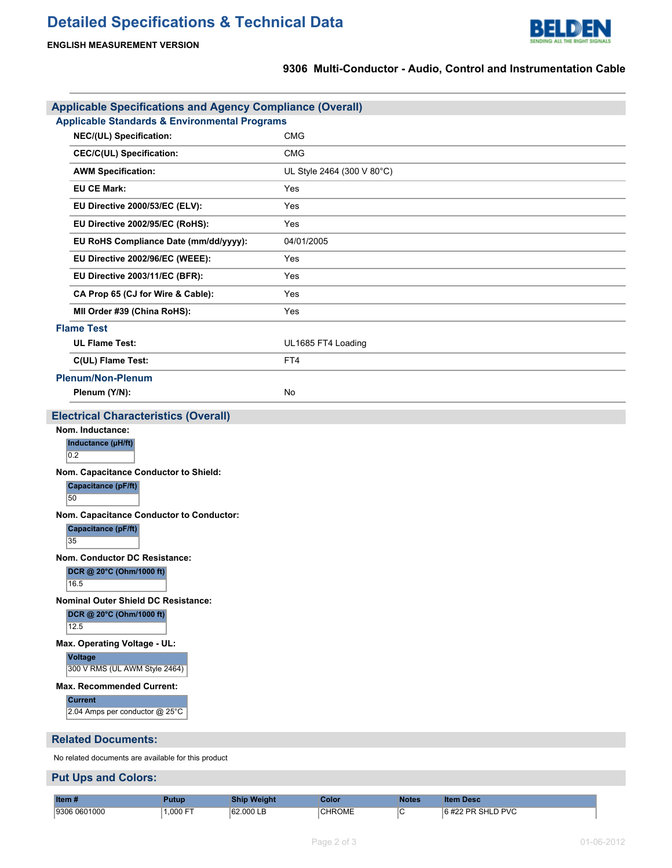# **Detailed Specifications & Technical Data**



## **9306 Multi-Conductor - Audio, Control and Instrumentation Cable**

| <b>Applicable Specifications and Agency Compliance (Overall)</b>                                                                                                        |                            |  |  |  |  |
|-------------------------------------------------------------------------------------------------------------------------------------------------------------------------|----------------------------|--|--|--|--|
| <b>Applicable Standards &amp; Environmental Programs</b>                                                                                                                |                            |  |  |  |  |
| NEC/(UL) Specification:                                                                                                                                                 | <b>CMG</b>                 |  |  |  |  |
| <b>CEC/C(UL) Specification:</b>                                                                                                                                         | <b>CMG</b>                 |  |  |  |  |
| <b>AWM Specification:</b>                                                                                                                                               | UL Style 2464 (300 V 80°C) |  |  |  |  |
| <b>EU CE Mark:</b>                                                                                                                                                      | Yes                        |  |  |  |  |
| EU Directive 2000/53/EC (ELV):                                                                                                                                          | Yes                        |  |  |  |  |
| EU Directive 2002/95/EC (RoHS):                                                                                                                                         | Yes                        |  |  |  |  |
| EU RoHS Compliance Date (mm/dd/yyyy):                                                                                                                                   | 04/01/2005                 |  |  |  |  |
| EU Directive 2002/96/EC (WEEE):                                                                                                                                         | Yes                        |  |  |  |  |
| EU Directive 2003/11/EC (BFR):                                                                                                                                          | Yes                        |  |  |  |  |
| CA Prop 65 (CJ for Wire & Cable):                                                                                                                                       | Yes                        |  |  |  |  |
| MII Order #39 (China RoHS):                                                                                                                                             | Yes                        |  |  |  |  |
| <b>Flame Test</b>                                                                                                                                                       |                            |  |  |  |  |
| <b>UL Flame Test:</b>                                                                                                                                                   | UL1685 FT4 Loading         |  |  |  |  |
| C(UL) Flame Test:                                                                                                                                                       | FT4                        |  |  |  |  |
| <b>Plenum/Non-Plenum</b>                                                                                                                                                |                            |  |  |  |  |
| Plenum (Y/N):                                                                                                                                                           | No                         |  |  |  |  |
| <b>Electrical Characteristics (Overall)</b>                                                                                                                             |                            |  |  |  |  |
| Nom. Inductance:<br>Inductance (µH/ft)<br>0.2                                                                                                                           |                            |  |  |  |  |
| Nom. Capacitance Conductor to Shield:<br>Capacitance (pF/ft)<br>50                                                                                                      |                            |  |  |  |  |
| Nom. Capacitance Conductor to Conductor:<br>Capacitance (pF/ft)<br>35                                                                                                   |                            |  |  |  |  |
| Nom. Conductor DC Resistance:<br>DCR @ 20°C (Ohm/1000 ft)<br>16.5                                                                                                       |                            |  |  |  |  |
| <b>Nominal Outer Shield DC Resistance:</b><br>DCR @ 20°C (Ohm/1000 ft)<br>12.5                                                                                          |                            |  |  |  |  |
| Max. Operating Voltage - UL:<br><b>Voltage</b><br>300 V RMS (UL AWM Style 2464)<br><b>Max. Recommended Current:</b><br><b>Current</b><br>2.04 Amps per conductor @ 25°C |                            |  |  |  |  |
| <b>Related Documents:</b>                                                                                                                                               |                            |  |  |  |  |

No related documents are available for this product

#### **Put Ups and Colors:**

| Item »                 | <b>Putup</b>     | Shin<br><b>Weight</b> | olor,         | <b>Notes</b> | Desc<br>lter          |
|------------------------|------------------|-----------------------|---------------|--------------|-----------------------|
| 0601000<br>  Q3NF<br>. | ,000<br>$-$<br>. | 162 000 L B<br>.      | <b>CHROME</b> | ◡            | PR SHLD PVC<br>$\sim$ |